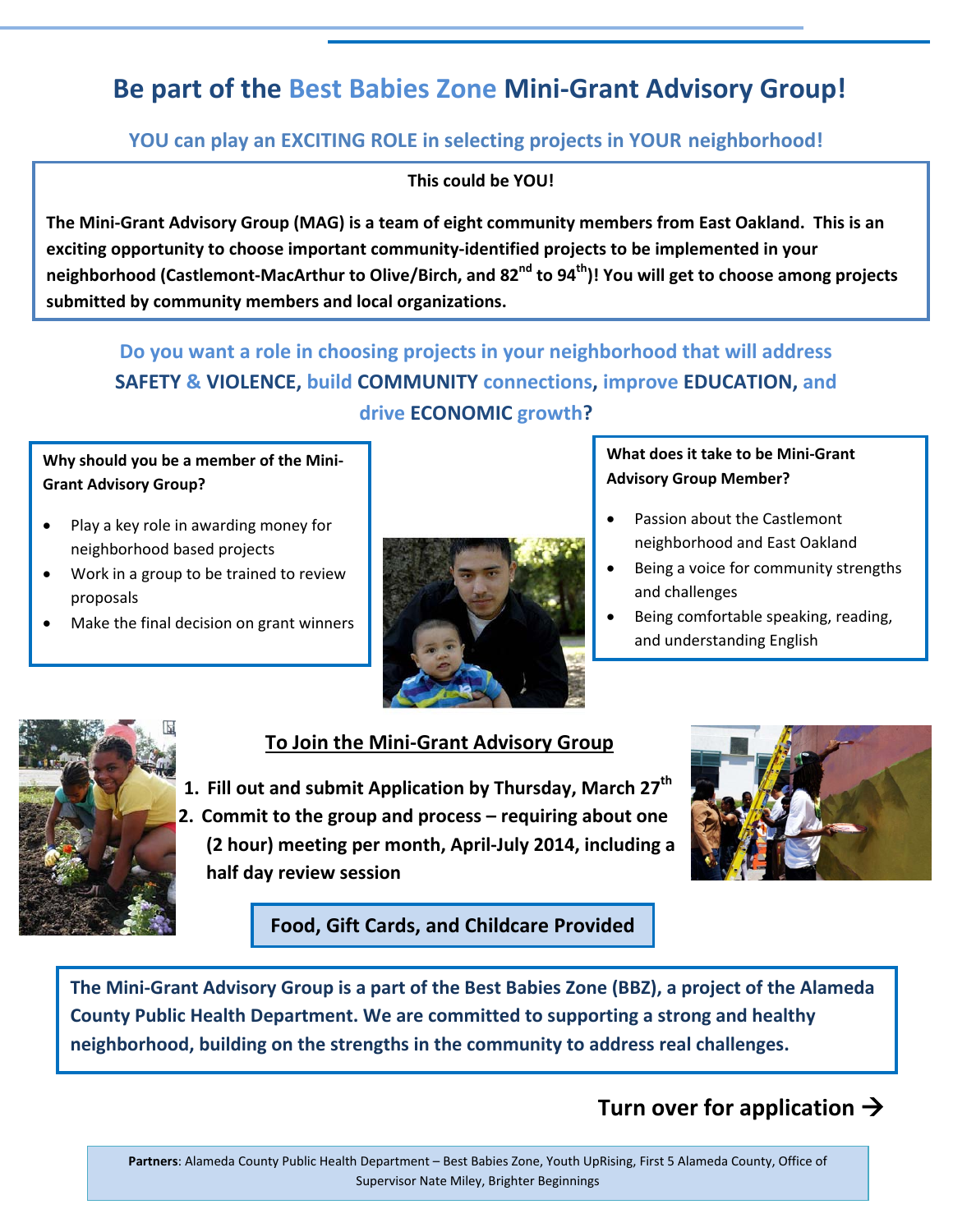# **Be part of the Best Babies Zone Mini-Grant Advisory Group!**

## **YOU can play an EXCITING ROLE in selecting projects in YOUR neighborhood!**

#### **This could be YOU!**

**The Mini-Grant Advisory Group (MAG) is a team of eight community members from East Oakland. This is an exciting opportunity to choose important community-identified projects to be implemented in your neighborhood (Castlemont-MacArthur to Olive/Birch, and 82nd to 94th)! You will get to choose among projects submitted by community members and local organizations.**

**Do you want a role in choosing projects in your neighborhood that will address SAFETY & VIOLENCE, build COMMUNITY connections, improve EDUCATION, and drive ECONOMIC growth?**

#### **Why should you be a member of the Mini-Grant Advisory Group?**

- Play a key role in awarding money for neighborhood based projects
- Work in a group to be trained to review proposals
- Make the final decision on grant winners



#### **What does it take to be Mini-Grant Advisory Group Member?**

- Passion about the Castlemont neighborhood and East Oakland
- Being a voice for community strengths and challenges
- Being comfortable speaking, reading, and understanding English



## **To Join the Mini-Grant Advisory Group**

- **1. Fill out and submit Application by Thursday, March 27th**
- **2. Commit to the group and process – requiring about one (2 hour) meeting per month, April-July 2014, including a half day review session**



## **Food, Gift Cards, and Childcare Provided**

**The Mini-Grant Advisory Group is a part of the Best Babies Zone (BBZ), a project of the Alameda County Public Health Department. We are committed to supporting a strong and healthy neighborhood, building on the strengths in the community to address real challenges.** 

## **Turn over for application**

**Partners**: Alameda County Public Health Department – Best Babies Zone, Youth UpRising, First 5 Alameda County, Office of Supervisor Nate Miley, Brighter Beginnings